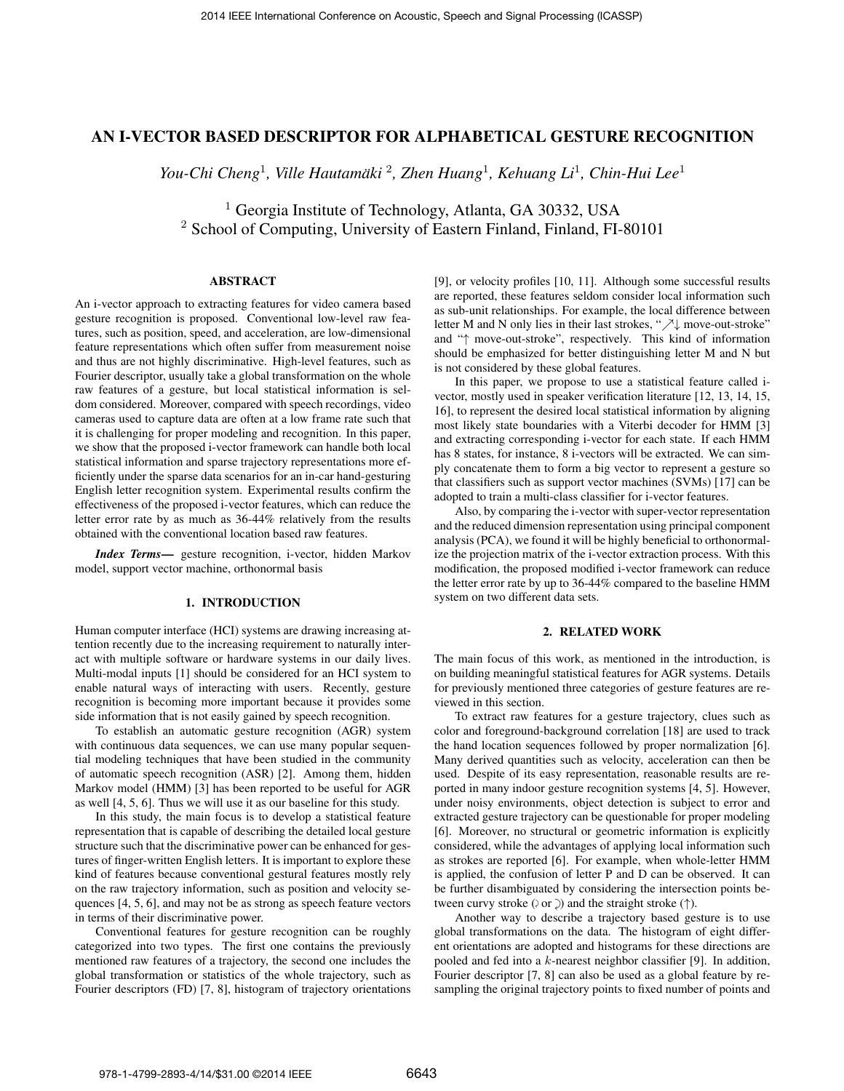# AN I-VECTOR BASED DESCRIPTOR FOR ALPHABETICAL GESTURE RECOGNITION

*You-Chi Cheng*<sup>1</sup> *, Ville Hautamaki ¨* 2 *, Zhen Huang*<sup>1</sup> *, Kehuang Li*<sup>1</sup> *, Chin-Hui Lee*<sup>1</sup>

<sup>1</sup> Georgia Institute of Technology, Atlanta, GA 30332, USA <sup>2</sup> School of Computing, University of Eastern Finland, Finland, FI-80101

## ABSTRACT

An i-vector approach to extracting features for video camera based gesture recognition is proposed. Conventional low-level raw features, such as position, speed, and acceleration, are low-dimensional feature representations which often suffer from measurement noise and thus are not highly discriminative. High-level features, such as Fourier descriptor, usually take a global transformation on the whole raw features of a gesture, but local statistical information is seldom considered. Moreover, compared with speech recordings, video cameras used to capture data are often at a low frame rate such that it is challenging for proper modeling and recognition. In this paper, we show that the proposed i-vector framework can handle both local statistical information and sparse trajectory representations more efficiently under the sparse data scenarios for an in-car hand-gesturing English letter recognition system. Experimental results confirm the effectiveness of the proposed i-vector features, which can reduce the letter error rate by as much as 36-44% relatively from the results obtained with the conventional location based raw features.

*Index Terms*— gesture recognition, i-vector, hidden Markov model, support vector machine, orthonormal basis

#### 1. INTRODUCTION

Human computer interface (HCI) systems are drawing increasing attention recently due to the increasing requirement to naturally interact with multiple software or hardware systems in our daily lives. Multi-modal inputs [1] should be considered for an HCI system to enable natural ways of interacting with users. Recently, gesture recognition is becoming more important because it provides some side information that is not easily gained by speech recognition.

To establish an automatic gesture recognition (AGR) system with continuous data sequences, we can use many popular sequential modeling techniques that have been studied in the community of automatic speech recognition (ASR) [2]. Among them, hidden Markov model (HMM) [3] has been reported to be useful for AGR as well [4, 5, 6]. Thus we will use it as our baseline for this study.

In this study, the main focus is to develop a statistical feature representation that is capable of describing the detailed local gesture structure such that the discriminative power can be enhanced for gestures of finger-written English letters. It is important to explore these kind of features because conventional gestural features mostly rely on the raw trajectory information, such as position and velocity sequences [4, 5, 6], and may not be as strong as speech feature vectors in terms of their discriminative power.

Conventional features for gesture recognition can be roughly categorized into two types. The first one contains the previously mentioned raw features of a trajectory, the second one includes the global transformation or statistics of the whole trajectory, such as Fourier descriptors (FD) [7, 8], histogram of trajectory orientations

[9], or velocity profiles [10, 11]. Although some successful results are reported, these features seldom consider local information such as sub-unit relationships. For example, the local difference between letter M and N only lies in their last strokes, " $\nearrow\downarrow$  move-out-stroke" and "↑ move-out-stroke", respectively. This kind of information should be emphasized for better distinguishing letter M and N but is not considered by these global features.

In this paper, we propose to use a statistical feature called ivector, mostly used in speaker verification literature [12, 13, 14, 15, 16], to represent the desired local statistical information by aligning most likely state boundaries with a Viterbi decoder for HMM [3] and extracting corresponding i-vector for each state. If each HMM has 8 states, for instance, 8 i-vectors will be extracted. We can simply concatenate them to form a big vector to represent a gesture so that classifiers such as support vector machines (SVMs) [17] can be adopted to train a multi-class classifier for i-vector features.

Also, by comparing the i-vector with super-vector representation and the reduced dimension representation using principal component analysis (PCA), we found it will be highly beneficial to orthonormalize the projection matrix of the i-vector extraction process. With this modification, the proposed modified i-vector framework can reduce the letter error rate by up to 36-44% compared to the baseline HMM system on two different data sets.

#### 2. RELATED WORK

The main focus of this work, as mentioned in the introduction, is on building meaningful statistical features for AGR systems. Details for previously mentioned three categories of gesture features are reviewed in this section.

To extract raw features for a gesture trajectory, clues such as color and foreground-background correlation [18] are used to track the hand location sequences followed by proper normalization [6]. Many derived quantities such as velocity, acceleration can then be used. Despite of its easy representation, reasonable results are reported in many indoor gesture recognition systems [4, 5]. However, under noisy environments, object detection is subject to error and extracted gesture trajectory can be questionable for proper modeling [6]. Moreover, no structural or geometric information is explicitly considered, while the advantages of applying local information such as strokes are reported [6]. For example, when whole-letter HMM is applied, the confusion of letter P and D can be observed. It can be further disambiguated by considering the intersection points between curvy stroke ( $\rho$  or  $\rho$ ) and the straight stroke ( $\uparrow$ ).

Another way to describe a trajectory based gesture is to use global transformations on the data. The histogram of eight different orientations are adopted and histograms for these directions are pooled and fed into a k-nearest neighbor classifier [9]. In addition, Fourier descriptor [7, 8] can also be used as a global feature by resampling the original trajectory points to fixed number of points and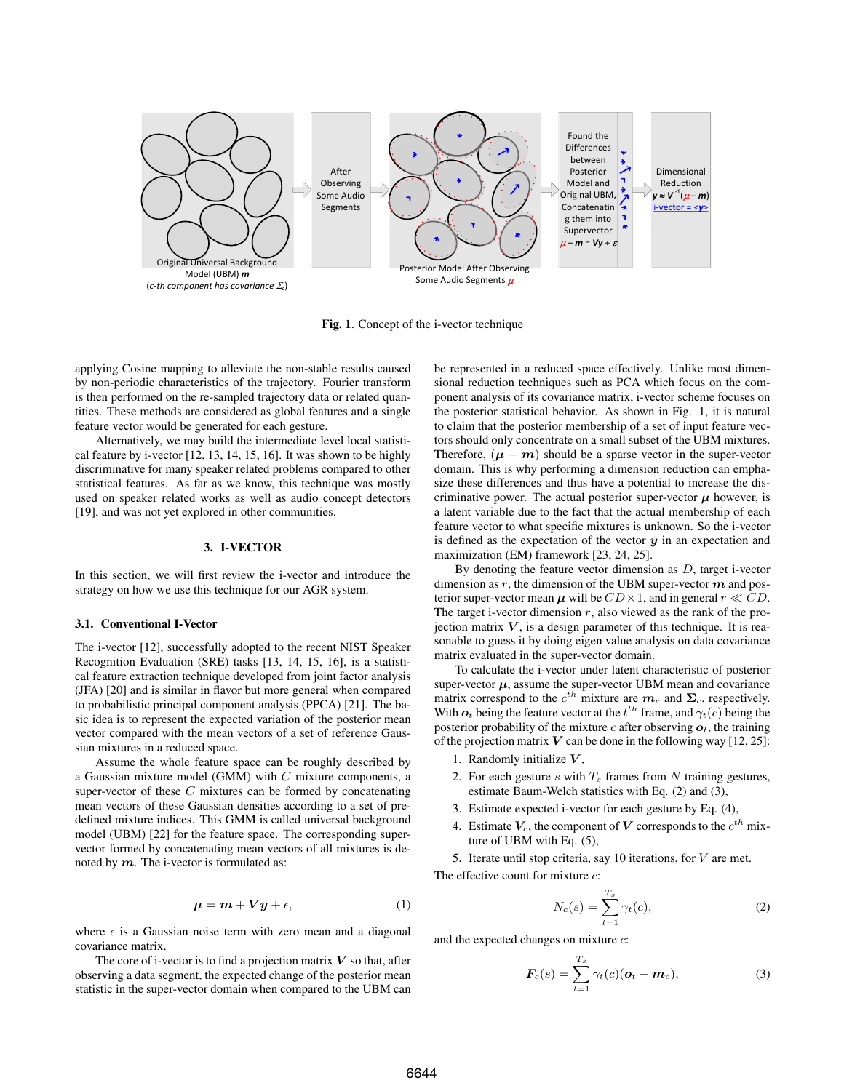

Fig. 1. Concept of the i-vector technique

applying Cosine mapping to alleviate the non-stable results caused by non-periodic characteristics of the trajectory. Fourier transform is then performed on the re-sampled trajectory data or related quantities. These methods are considered as global features and a single feature vector would be generated for each gesture.

Alternatively, we may build the intermediate level local statistical feature by i-vector [12, 13, 14, 15, 16]. It was shown to be highly discriminative for many speaker related problems compared to other statistical features. As far as we know, this technique was mostly used on speaker related works as well as audio concept detectors [19], and was not yet explored in other communities.

### 3. I-VECTOR

In this section, we will first review the i-vector and introduce the strategy on how we use this technique for our AGR system.

#### 3.1. Conventional I-Vector

The i-vector [12], successfully adopted to the recent NIST Speaker Recognition Evaluation (SRE) tasks [13, 14, 15, 16], is a statistical feature extraction technique developed from joint factor analysis (JFA) [20] and is similar in flavor but more general when compared to probabilistic principal component analysis (PPCA) [21]. The basic idea is to represent the expected variation of the posterior mean vector compared with the mean vectors of a set of reference Gaussian mixtures in a reduced space.

Assume the whole feature space can be roughly described by a Gaussian mixture model (GMM) with C mixture components, a super-vector of these  $C$  mixtures can be formed by concatenating mean vectors of these Gaussian densities according to a set of predefined mixture indices. This GMM is called universal background model (UBM) [22] for the feature space. The corresponding supervector formed by concatenating mean vectors of all mixtures is denoted by  $m$ . The i-vector is formulated as:

$$
\mu = m + Vy + \epsilon, \tag{1}
$$

where  $\epsilon$  is a Gaussian noise term with zero mean and a diagonal covariance matrix.

The core of i-vector is to find a projection matrix  $V$  so that, after observing a data segment, the expected change of the posterior mean statistic in the super-vector domain when compared to the UBM can

be represented in a reduced space effectively. Unlike most dimensional reduction techniques such as PCA which focus on the component analysis of its covariance matrix, i-vector scheme focuses on the posterior statistical behavior. As shown in Fig. 1, it is natural to claim that the posterior membership of a set of input feature vectors should only concentrate on a small subset of the UBM mixtures. Therefore,  $(\mu - m)$  should be a sparse vector in the super-vector domain. This is why performing a dimension reduction can emphasize these differences and thus have a potential to increase the discriminative power. The actual posterior super-vector  $\mu$  however, is a latent variable due to the fact that the actual membership of each feature vector to what specific mixtures is unknown. So the i-vector is defined as the expectation of the vector  $y$  in an expectation and maximization (EM) framework [23, 24, 25].

By denoting the feature vector dimension as  $D$ , target i-vector dimension as  $r$ , the dimension of the UBM super-vector  $\boldsymbol{m}$  and posterior super-vector mean  $\mu$  will be  $CD \times 1$ , and in general  $r \ll CD$ . The target i-vector dimension  $r$ , also viewed as the rank of the projection matrix  $V$ , is a design parameter of this technique. It is reasonable to guess it by doing eigen value analysis on data covariance matrix evaluated in the super-vector domain.

To calculate the i-vector under latent characteristic of posterior super-vector  $\mu$ , assume the super-vector UBM mean and covariance matrix correspond to the  $c^{th}$  mixture are  $m_c$  and  $\Sigma_c$ , respectively. With  $o_t$  being the feature vector at the  $t^{th}$  frame, and  $\gamma_t(c)$  being the posterior probability of the mixture c after observing  $o_t$ , the training of the projection matrix  $V$  can be done in the following way [12, 25]:

- 1. Randomly initialize  $V$ ,
- 2. For each gesture  $s$  with  $T_s$  frames from  $N$  training gestures, estimate Baum-Welch statistics with Eq. (2) and (3),
- 3. Estimate expected i-vector for each gesture by Eq. (4),
- 4. Estimate  $V_c$ , the component of  $V$  corresponds to the  $c^{th}$  mixture of UBM with Eq. (5),
- 5. Iterate until stop criteria, say 10 iterations, for  $V$  are met.

The effective count for mixture c:

$$
N_c(s) = \sum_{t=1}^{T_s} \gamma_t(c),\tag{2}
$$

and the expected changes on mixture c:

$$
\boldsymbol{F}_c(s) = \sum_{t=1}^{T_s} \gamma_t(c)(\boldsymbol{o}_t - \boldsymbol{m}_c), \qquad (3)
$$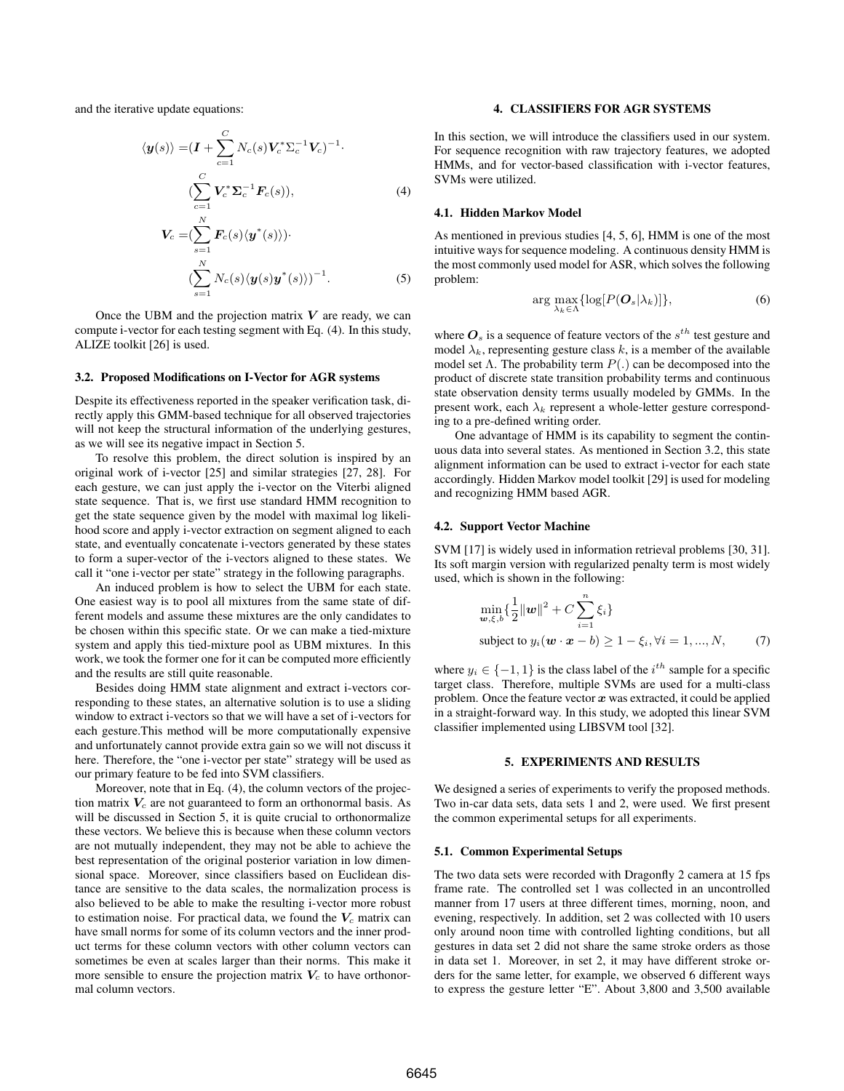and the iterative update equations:

$$
\langle \mathbf{y}(s) \rangle = (\mathbf{I} + \sum_{c=1}^{C} N_c(s) \mathbf{V}_c^* \Sigma_c^{-1} \mathbf{V}_c)^{-1}.
$$
  

$$
(\sum_{c=1}^{C} \mathbf{V}_c^* \mathbf{\Sigma}_c^{-1} \mathbf{F}_c(s)),
$$
 (4)

$$
V_c = (\sum_{s=1}^{N} \boldsymbol{F}_c(s) \langle \boldsymbol{y}^*(s) \rangle) \cdot
$$

$$
(\sum_{s=1}^{N} N_c(s) \langle \boldsymbol{y}(s) \boldsymbol{y}^*(s) \rangle)^{-1}.
$$
(5)

Once the UBM and the projection matrix  $V$  are ready, we can compute i-vector for each testing segment with Eq. (4). In this study, ALIZE toolkit [26] is used.

#### 3.2. Proposed Modifications on I-Vector for AGR systems

Despite its effectiveness reported in the speaker verification task, directly apply this GMM-based technique for all observed trajectories will not keep the structural information of the underlying gestures, as we will see its negative impact in Section 5.

To resolve this problem, the direct solution is inspired by an original work of i-vector [25] and similar strategies [27, 28]. For each gesture, we can just apply the i-vector on the Viterbi aligned state sequence. That is, we first use standard HMM recognition to get the state sequence given by the model with maximal log likelihood score and apply i-vector extraction on segment aligned to each state, and eventually concatenate i-vectors generated by these states to form a super-vector of the i-vectors aligned to these states. We call it "one i-vector per state" strategy in the following paragraphs.

An induced problem is how to select the UBM for each state. One easiest way is to pool all mixtures from the same state of different models and assume these mixtures are the only candidates to be chosen within this specific state. Or we can make a tied-mixture system and apply this tied-mixture pool as UBM mixtures. In this work, we took the former one for it can be computed more efficiently and the results are still quite reasonable.

Besides doing HMM state alignment and extract i-vectors corresponding to these states, an alternative solution is to use a sliding window to extract i-vectors so that we will have a set of i-vectors for each gesture.This method will be more computationally expensive and unfortunately cannot provide extra gain so we will not discuss it here. Therefore, the "one i-vector per state" strategy will be used as our primary feature to be fed into SVM classifiers.

Moreover, note that in Eq. (4), the column vectors of the projection matrix  $V_c$  are not guaranteed to form an orthonormal basis. As will be discussed in Section 5, it is quite crucial to orthonormalize these vectors. We believe this is because when these column vectors are not mutually independent, they may not be able to achieve the best representation of the original posterior variation in low dimensional space. Moreover, since classifiers based on Euclidean distance are sensitive to the data scales, the normalization process is also believed to be able to make the resulting i-vector more robust to estimation noise. For practical data, we found the  $V_c$  matrix can have small norms for some of its column vectors and the inner product terms for these column vectors with other column vectors can sometimes be even at scales larger than their norms. This make it more sensible to ensure the projection matrix  $V_c$  to have orthonormal column vectors.

#### 4. CLASSIFIERS FOR AGR SYSTEMS

In this section, we will introduce the classifiers used in our system. For sequence recognition with raw trajectory features, we adopted HMMs, and for vector-based classification with i-vector features, SVMs were utilized.

#### 4.1. Hidden Markov Model

As mentioned in previous studies [4, 5, 6], HMM is one of the most intuitive ways for sequence modeling. A continuous density HMM is the most commonly used model for ASR, which solves the following problem:

$$
\arg\max_{\lambda_k \in \Lambda} \{ \log[P(\boldsymbol{O}_s|\lambda_k)] \},\tag{6}
$$

where  $O_s$  is a sequence of feature vectors of the  $s^{th}$  test gesture and model  $\lambda_k$ , representing gesture class k, is a member of the available model set  $\Lambda$ . The probability term  $P(.)$  can be decomposed into the product of discrete state transition probability terms and continuous state observation density terms usually modeled by GMMs. In the present work, each  $\lambda_k$  represent a whole-letter gesture corresponding to a pre-defined writing order.

One advantage of HMM is its capability to segment the continuous data into several states. As mentioned in Section 3.2, this state alignment information can be used to extract i-vector for each state accordingly. Hidden Markov model toolkit [29] is used for modeling and recognizing HMM based AGR.

#### 4.2. Support Vector Machine

SVM [17] is widely used in information retrieval problems [30, 31]. Its soft margin version with regularized penalty term is most widely used, which is shown in the following:

$$
\min_{\mathbf{w}, \xi, b} \left\{ \frac{1}{2} ||\mathbf{w}||^2 + C \sum_{i=1}^n \xi_i \right\}
$$
\nsubject to  $y_i(\mathbf{w} \cdot \mathbf{x} - b) \ge 1 - \xi_i, \forall i = 1, ..., N,$  (7)

where  $y_i \in \{-1, 1\}$  is the class label of the  $i^{th}$  sample for a specific target class. Therefore, multiple SVMs are used for a multi-class problem. Once the feature vector  $x$  was extracted, it could be applied in a straight-forward way. In this study, we adopted this linear SVM classifier implemented using LIBSVM tool [32].

### 5. EXPERIMENTS AND RESULTS

We designed a series of experiments to verify the proposed methods. Two in-car data sets, data sets 1 and 2, were used. We first present the common experimental setups for all experiments.

### 5.1. Common Experimental Setups

The two data sets were recorded with Dragonfly 2 camera at 15 fps frame rate. The controlled set 1 was collected in an uncontrolled manner from 17 users at three different times, morning, noon, and evening, respectively. In addition, set 2 was collected with 10 users only around noon time with controlled lighting conditions, but all gestures in data set 2 did not share the same stroke orders as those in data set 1. Moreover, in set 2, it may have different stroke orders for the same letter, for example, we observed 6 different ways to express the gesture letter "E". About 3,800 and 3,500 available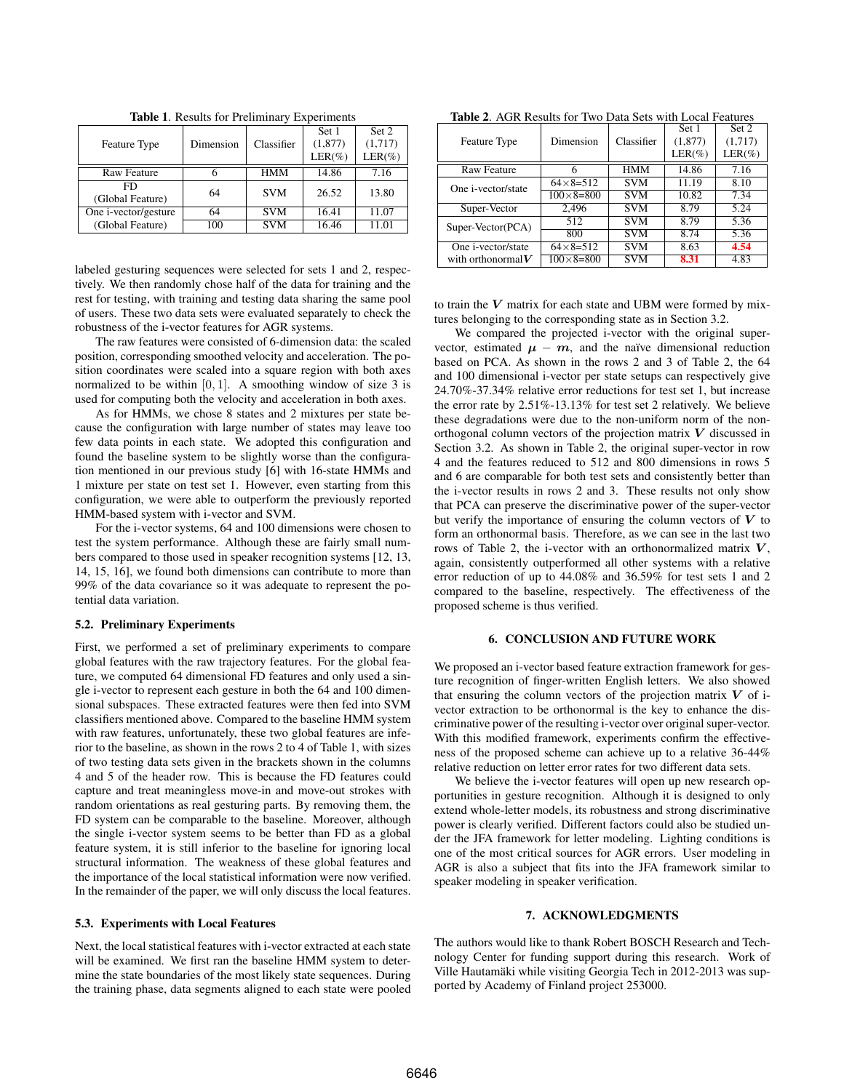| Feature Type           | Dimension | Classifier | Set 1<br>(1, 877)<br>$LER(\%)$ | Set 2<br>(1,717)<br>$LER(\%)$ |
|------------------------|-----------|------------|--------------------------------|-------------------------------|
| Raw Feature            |           | <b>HMM</b> | 14.86                          | 7.16                          |
| FD<br>(Global Feature) | 64        | <b>SVM</b> | 26.52                          | 13.80                         |
| One i-vector/gesture   | 64        | <b>SVM</b> | 16.41                          | 11.07                         |
| (Global Feature)       | 100       | <b>SVM</b> | 16.46                          | 11.01                         |

Table 1. Results for Preliminary Experiments

labeled gesturing sequences were selected for sets 1 and 2, respectively. We then randomly chose half of the data for training and the rest for testing, with training and testing data sharing the same pool of users. These two data sets were evaluated separately to check the robustness of the i-vector features for AGR systems.

The raw features were consisted of 6-dimension data: the scaled position, corresponding smoothed velocity and acceleration. The position coordinates were scaled into a square region with both axes normalized to be within  $[0, 1]$ . A smoothing window of size 3 is used for computing both the velocity and acceleration in both axes.

As for HMMs, we chose 8 states and 2 mixtures per state because the configuration with large number of states may leave too few data points in each state. We adopted this configuration and found the baseline system to be slightly worse than the configuration mentioned in our previous study [6] with 16-state HMMs and 1 mixture per state on test set 1. However, even starting from this configuration, we were able to outperform the previously reported HMM-based system with i-vector and SVM.

For the i-vector systems, 64 and 100 dimensions were chosen to test the system performance. Although these are fairly small numbers compared to those used in speaker recognition systems [12, 13, 14, 15, 16], we found both dimensions can contribute to more than 99% of the data covariance so it was adequate to represent the potential data variation.

#### 5.2. Preliminary Experiments

First, we performed a set of preliminary experiments to compare global features with the raw trajectory features. For the global feature, we computed 64 dimensional FD features and only used a single i-vector to represent each gesture in both the 64 and 100 dimensional subspaces. These extracted features were then fed into SVM classifiers mentioned above. Compared to the baseline HMM system with raw features, unfortunately, these two global features are inferior to the baseline, as shown in the rows 2 to 4 of Table 1, with sizes of two testing data sets given in the brackets shown in the columns 4 and 5 of the header row. This is because the FD features could capture and treat meaningless move-in and move-out strokes with random orientations as real gesturing parts. By removing them, the FD system can be comparable to the baseline. Moreover, although the single i-vector system seems to be better than FD as a global feature system, it is still inferior to the baseline for ignoring local structural information. The weakness of these global features and the importance of the local statistical information were now verified. In the remainder of the paper, we will only discuss the local features.

#### 5.3. Experiments with Local Features

Next, the local statistical features with i-vector extracted at each state will be examined. We first ran the baseline HMM system to determine the state boundaries of the most likely state sequences. During the training phase, data segments aligned to each state were pooled

| Feature Type         | Dimension            | Classifier | Set 1<br>(1,877)<br>$LER(\%)$ | Set 2<br>(1,717)<br>$LER(\%)$ |
|----------------------|----------------------|------------|-------------------------------|-------------------------------|
| <b>Raw Feature</b>   | 6                    | <b>HMM</b> | 14.86                         | 7.16                          |
| One i-vector/state   | $64 \times 8 = 512$  | <b>SVM</b> | 11.19                         | 8.10                          |
|                      | $100 \times 8 = 800$ | <b>SVM</b> | 10.82                         | 7.34                          |
| Super-Vector         | 2.496                | <b>SVM</b> | 8.79                          | 5.24                          |
| Super-Vector(PCA)    | 512                  | <b>SVM</b> | 8.79                          | 5.36                          |
|                      | 800                  | <b>SVM</b> | 8.74                          | 5.36                          |
| One i-vector/state   | $64 \times 8 = 512$  | <b>SVM</b> | 8.63                          | 4.54                          |
| with orthonormal $V$ | $100 \times 8 = 800$ | SVM        | 8.31                          | 4.83                          |

Table 2. AGR Results for Two Data Sets with Local Features

to train the  $V$  matrix for each state and UBM were formed by mixtures belonging to the corresponding state as in Section 3.2.

We compared the projected i-vector with the original supervector, estimated  $\mu - m$ , and the naïve dimensional reduction based on PCA. As shown in the rows 2 and 3 of Table 2, the 64 and 100 dimensional i-vector per state setups can respectively give 24.70%-37.34% relative error reductions for test set 1, but increase the error rate by 2.51%-13.13% for test set 2 relatively. We believe these degradations were due to the non-uniform norm of the nonorthogonal column vectors of the projection matrix  $V$  discussed in Section 3.2. As shown in Table 2, the original super-vector in row 4 and the features reduced to 512 and 800 dimensions in rows 5 and 6 are comparable for both test sets and consistently better than the i-vector results in rows 2 and 3. These results not only show that PCA can preserve the discriminative power of the super-vector but verify the importance of ensuring the column vectors of  $V$  to form an orthonormal basis. Therefore, as we can see in the last two rows of Table 2, the i-vector with an orthonormalized matrix  $V$ , again, consistently outperformed all other systems with a relative error reduction of up to 44.08% and 36.59% for test sets 1 and 2 compared to the baseline, respectively. The effectiveness of the proposed scheme is thus verified.

#### 6. CONCLUSION AND FUTURE WORK

We proposed an i-vector based feature extraction framework for gesture recognition of finger-written English letters. We also showed that ensuring the column vectors of the projection matrix  $V$  of ivector extraction to be orthonormal is the key to enhance the discriminative power of the resulting i-vector over original super-vector. With this modified framework, experiments confirm the effectiveness of the proposed scheme can achieve up to a relative 36-44% relative reduction on letter error rates for two different data sets.

We believe the i-vector features will open up new research opportunities in gesture recognition. Although it is designed to only extend whole-letter models, its robustness and strong discriminative power is clearly verified. Different factors could also be studied under the JFA framework for letter modeling. Lighting conditions is one of the most critical sources for AGR errors. User modeling in AGR is also a subject that fits into the JFA framework similar to speaker modeling in speaker verification.

### 7. ACKNOWLEDGMENTS

The authors would like to thank Robert BOSCH Research and Technology Center for funding support during this research. Work of Ville Hautamäki while visiting Georgia Tech in 2012-2013 was supported by Academy of Finland project 253000.